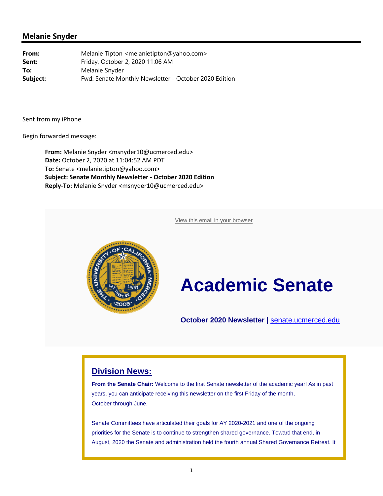View this email in your browser



# **Academic Senate**

**October 2020 Newsletter |** senate.ucmerced.edu

### **Division News:**

**From the Senate Chair:** Welcome to the first Senate newsletter of the academic year! As in past years, you can anticipate receiving this newsletter on the first Friday of the month, October through June.

Senate Committees have articulated their goals for AY 2020-2021 and one of the ongoing priorities for the Senate is to continue to strengthen shared governance. Toward that end, in August, 2020 the Senate and administration held the fourth annual Shared Governance Retreat. It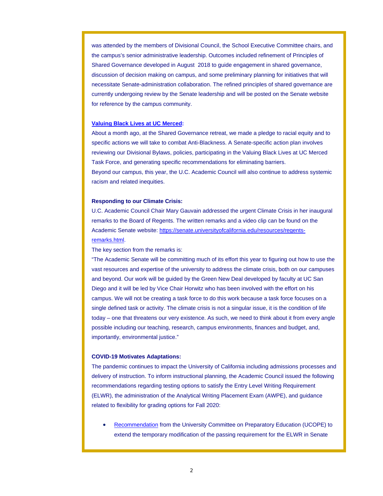was attended by the members of Divisional Council, the School Executive Committee chairs, and the campus's senior administrative leadership. Outcomes included refinement of Principles of Shared Governance developed in August 2018 to guide engagement in shared governance, discussion of decision making on campus, and some preliminary planning for initiatives that will necessitate Senate-administration collaboration. The refined principles of shared governance are currently undergoing review by the Senate leadership and will be posted on the Senate website for reference by the campus community.

#### **Valuing Black Lives at UC Merced:**

About a month ago, at the Shared Governance retreat, we made a pledge to racial equity and to specific actions we will take to combat Anti-Blackness. A Senate-specific action plan involves reviewing our Divisional Bylaws, policies, participating in the Valuing Black Lives at UC Merced Task Force, and generating specific recommendations for eliminating barriers. Beyond our campus, this year, the U.C. Academic Council will also continue to address systemic racism and related inequities.

#### **Responding to our Climate Crisis:**

U.C. Academic Council Chair Mary Gauvain addressed the urgent Climate Crisis in her inaugural remarks to the Board of Regents. The written remarks and a video clip can be found on the Academic Senate website: https://senate.universityofcalifornia.edu/resources/regentsremarks.html.

The key section from the remarks is:

"The Academic Senate will be committing much of its effort this year to figuring out how to use the vast resources and expertise of the university to address the climate crisis, both on our campuses and beyond. Our work will be guided by the Green New Deal developed by faculty at UC San Diego and it will be led by Vice Chair Horwitz who has been involved with the effort on his campus. We will not be creating a task force to do this work because a task force focuses on a single defined task or activity. The climate crisis is not a singular issue, it is the condition of life today – one that threatens our very existence. As such, we need to think about it from every angle possible including our teaching, research, campus environments, finances and budget, and, importantly, environmental justice."

#### **COVID-19 Motivates Adaptations:**

The pandemic continues to impact the University of California including admissions processes and delivery of instruction. To inform instructional planning, the Academic Council issued the following recommendations regarding testing options to satisfy the Entry Level Writing Requirement (ELWR), the administration of the Analytical Writing Placement Exam (AWPE), and guidance related to flexibility for grading options for Fall 2020:

 Recommendation from the University Committee on Preparatory Education (UCOPE) to extend the temporary modification of the passing requirement for the ELWR in Senate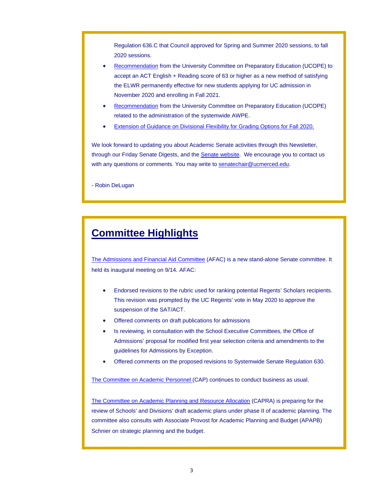Regulation 636.C that Council approved for Spring and Summer 2020 sessions, to fall 2020 sessions.

- Recommendation from the University Committee on Preparatory Education (UCOPE) to accept an ACT English + Reading score of 63 or higher as a new method of satisfying the ELWR permanently effective for new students applying for UC admission in November 2020 and enrolling in Fall 2021.
- Recommendation from the University Committee on Preparatory Education (UCOPE) related to the administration of the systemwide AWPE.
- Extension of Guidance on Divisional Flexibility for Grading Options for Fall 2020.

We look forward to updating you about Academic Senate activities through this Newsletter, through our Friday Senate Digests, and the **Senate website**. We encourage you to contact us with any questions or comments. You may write to senatechair@ucmerced.edu.

- Robin DeLugan

# **Committee Highlights**

The Admissions and Financial Aid Committee (AFAC) is a new stand-alone Senate committee. It held its inaugural meeting on 9/14. AFAC:

- Endorsed revisions to the rubric used for ranking potential Regents' Scholars recipients. This revision was prompted by the UC Regents' vote in May 2020 to approve the suspension of the SAT/ACT.
- Offered comments on draft publications for admissions
- Is reviewing, in consultation with the School Executive Committees, the Office of Admissions' proposal for modified first year selection criteria and amendments to the guidelines for Admissions by Exception.
- Offered comments on the proposed revisions to Systemwide Senate Regulation 630.

The Committee on Academic Personnel (CAP) continues to conduct business as usual.

The Committee on Academic Planning and Resource Allocation (CAPRA) is preparing for the review of Schools' and Divisions' draft academic plans under phase II of academic planning. The committee also consults with Associate Provost for Academic Planning and Budget (APAPB) Schnier on strategic planning and the budget.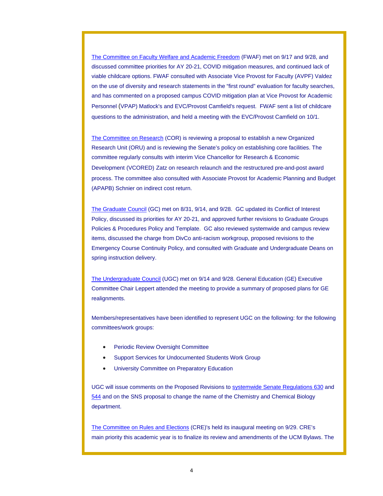The Committee on Faculty Welfare and Academic Freedom (FWAF) met on 9/17 and 9/28, and discussed committee priorities for AY 20-21, COVID mitigation measures, and continued lack of viable childcare options. FWAF consulted with Associate Vice Provost for Faculty (AVPF) Valdez on the use of diversity and research statements in the "first round" evaluation for faculty searches, and has commented on a proposed campus COVID mitigation plan at Vice Provost for Academic Personnel (VPAP) Matlock's and EVC/Provost Camfield's request. FWAF sent a list of childcare questions to the administration, and held a meeting with the EVC/Provost Camfield on 10/1.

The Committee on Research (COR) is reviewing a proposal to establish a new Organized Research Unit (ORU) and is reviewing the Senate's policy on establishing core facilities. The committee regularly consults with interim Vice Chancellor for Research & Economic Development (VCORED) Zatz on research relaunch and the restructured pre-and-post award process. The committee also consulted with Associate Provost for Academic Planning and Budget (APAPB) Schnier on indirect cost return.

The Graduate Council (GC) met on 8/31, 9/14, and 9/28. GC updated its Conflict of Interest Policy, discussed its priorities for AY 20-21, and approved further revisions to Graduate Groups Policies & Procedures Policy and Template. GC also reviewed systemwide and campus review items, discussed the charge from DivCo anti-racism workgroup, proposed revisions to the Emergency Course Continuity Policy, and consulted with Graduate and Undergraduate Deans on spring instruction delivery.

The Undergraduate Council (UGC) met on 9/14 and 9/28. General Education (GE) Executive Committee Chair Leppert attended the meeting to provide a summary of proposed plans for GE realignments.

Members/representatives have been identified to represent UGC on the following: for the following committees/work groups:

- Periodic Review Oversight Committee
- Support Services for Undocumented Students Work Group
- University Committee on Preparatory Education

UGC will issue comments on the Proposed Revisions to systemwide Senate Regulations 630 and 544 and on the SNS proposal to change the name of the Chemistry and Chemical Biology department.

The Committee on Rules and Elections (CRE)'s held its inaugural meeting on 9/29. CRE's main priority this academic year is to finalize its review and amendments of the UCM Bylaws. The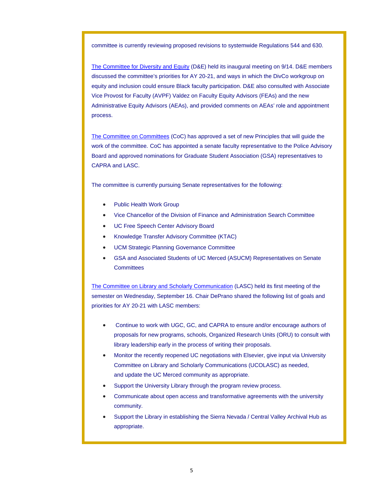committee is currently reviewing proposed revisions to systemwide Regulations 544 and 630.

The Committee for Diversity and Equity (D&E) held its inaugural meeting on 9/14. D&E members discussed the committee's priorities for AY 20-21, and ways in which the DivCo workgroup on equity and inclusion could ensure Black faculty participation. D&E also consulted with Associate Vice Provost for Faculty (AVPF) Valdez on Faculty Equity Advisors (FEAs) and the new Administrative Equity Advisors (AEAs), and provided comments on AEAs' role and appointment process.

The Committee on Committees (CoC) has approved a set of new Principles that will guide the work of the committee. CoC has appointed a senate faculty representative to the Police Advisory Board and approved nominations for Graduate Student Association (GSA) representatives to CAPRA and LASC.

The committee is currently pursuing Senate representatives for the following:

- Public Health Work Group
- Vice Chancellor of the Division of Finance and Administration Search Committee
- UC Free Speech Center Advisory Board
- Knowledge Transfer Advisory Committee (KTAC)
- UCM Strategic Planning Governance Committee
- GSA and Associated Students of UC Merced (ASUCM) Representatives on Senate **Committees**

The Committee on Library and Scholarly Communication (LASC) held its first meeting of the semester on Wednesday, September 16. Chair DePrano shared the following list of goals and priorities for AY 20-21 with LASC members:

- Continue to work with UGC, GC, and CAPRA to ensure and/or encourage authors of proposals for new programs, schools, Organized Research Units (ORU) to consult with library leadership early in the process of writing their proposals.
- Monitor the recently reopened UC negotiations with Elsevier, give input via University Committee on Library and Scholarly Communications (UCOLASC) as needed, and update the UC Merced community as appropriate.
- Support the University Library through the program review process.
- Communicate about open access and transformative agreements with the university community.
- Support the Library in establishing the Sierra Nevada / Central Valley Archival Hub as appropriate.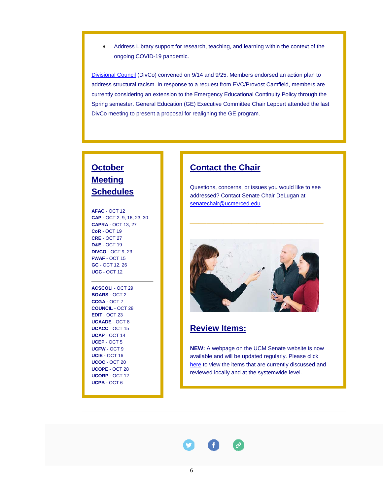Address Library support for research, teaching, and learning within the context of the ongoing COVID-19 pandemic.

Divisional Council (DivCo) convened on 9/14 and 9/25. Members endorsed an action plan to address structural racism. In response to a request from EVC/Provost Camfield, members are currently considering an extension to the Emergency Educational Continuity Policy through the Spring semester. General Education (GE) Executive Committee Chair Leppert attended the last DivCo meeting to present a proposal for realigning the GE program.

# **October Meeting Schedules**

**AFAC** - OCT 12 **CAP** - OCT 2, 9, 16, 23, 30 **CAPRA** - OCT 13, 27 **CoR** - OCT 19 **CRE** - OCT 27 **D&E** - OCT 19 **DIVCO** - OCT 9, 23 **FWAF** - OCT 15 **GC** - OCT 12, 26 **UGC** - OCT 12

**ACSCOLI** - OCT 29 **BOARS** - OCT 2 **CCGA** - OCT 7 **COUNCIL** - OCT 28 **EDIT** - OCT 23 **UCAADE** - OCT 8 **UCACC** - OCT 15 **UCAP** - OCT 14 **UCEP** - OCT 5 **UCFW -** OCT 9 **UCIE** - OCT 16 **UCOC** - OCT 20 **UCOPE** - OCT 28 **UCORP** - OCT 12 **UCPB** - OCT 6

## **Contact the Chair**

Questions, concerns, or issues you would like to see addressed? Contact Senate Chair DeLugan at senatechair@ucmerced.edu.

**\_\_\_\_\_\_\_\_\_\_\_\_\_\_\_\_**



### **Review Items:**

**NEW:** A webpage on the UCM Senate website is now available and will be updated regularly. Please click here to view the items that are currently discussed and reviewed locally and at the systemwide level.